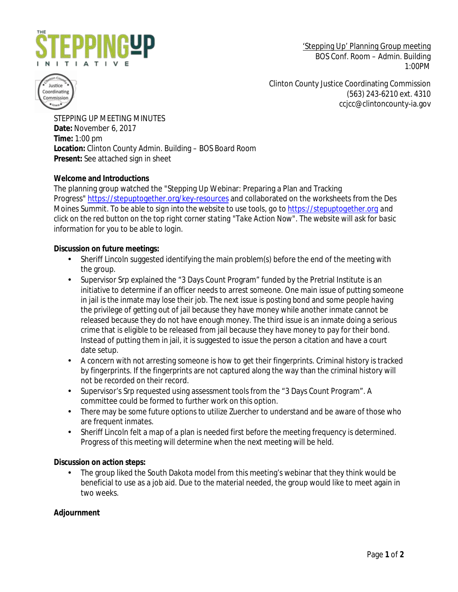

'Stepping Up' Planning Group meeting BOS Conf. Room – Admin. Building 1:00PM



Clinton County Justice Coordinating Commission (563) 243-6210 ext. 4310 ccjcc@clintoncounty-ia.gov

STEPPING UP MEETING MINUTES **Date:** November 6, 2017 **Time:** 1:00 pm **Location:** Clinton County Admin. Building – BOS Board Room **Present:** See attached sign in sheet

## **Welcome and Introductions**

The planning group watched the "Stepping Up Webinar: Preparing a Plan and Tracking Progress" <https://stepuptogether.org/key-resources> and collaborated on the worksheets from the Des Moines Summit. *To be able to sign into the website to use tools, go t[o https://stepuptogether.org](https://stepuptogether.org/) and click on the red button on the top right corner stating "Take Action Now". The website will ask for basic information for you to be able to login.*

## **Discussion on future meetings:**

- Sheriff Lincoln suggested identifying the main problem(s) before the end of the meeting with the group.
- Supervisor Srp explained the "3 Days Count Program" funded by the Pretrial Institute is an initiative to determine if an officer needs to arrest someone. One main issue of putting someone in jail is the inmate may lose their job. The next issue is posting bond and some people having the privilege of getting out of jail because they have money while another inmate cannot be released because they do not have enough money. The third issue is an inmate doing a serious crime that is eligible to be released from jail because they have money to pay for their bond. Instead of putting them in jail, it is suggested to issue the person a citation and have a court date setup.
- a. A concern with not arresting someone is how to get their fingerprints. Criminal history is tracked by fingerprints. If the fingerprints are not captured along the way than the criminal history will not be recorded on their record.
- Supervisor's Srp requested using assessment tools from the "3 Days Count Program". A ¥. committee could be formed to further work on this option.
- There may be some future options to utilize Zuercher to understand and be aware of those who ÷. are frequent inmates.
- Sheriff Lincoln felt a map of a plan is needed first before the meeting frequency is determined. Progress of this meeting will determine when the next meeting will be held.

## **Discussion on action steps:**

The group liked the South Dakota model from this meeting's webinar that they think would be beneficial to use as a job aid. Due to the material needed, the group would like to meet again in two weeks.

## **Adjournment**